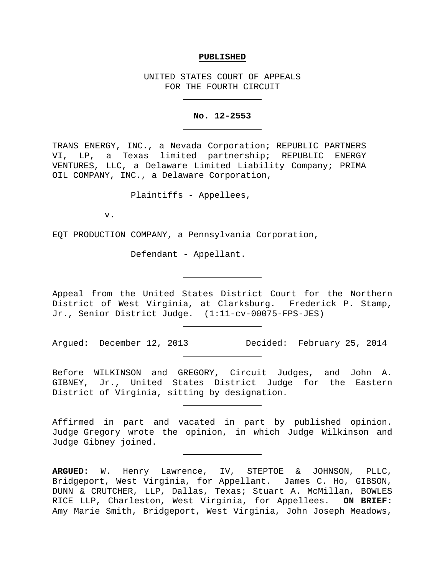#### **PUBLISHED**

UNITED STATES COURT OF APPEALS FOR THE FOURTH CIRCUIT

#### **No. 12-2553**

TRANS ENERGY, INC., a Nevada Corporation; REPUBLIC PARTNERS VI, LP, a Texas limited partnership; REPUBLIC ENERGY VENTURES, LLC, a Delaware Limited Liability Company; PRIMA OIL COMPANY, INC., a Delaware Corporation,

Plaintiffs - Appellees,

v.

EQT PRODUCTION COMPANY, a Pennsylvania Corporation,

Defendant - Appellant.

Appeal from the United States District Court for the Northern District of West Virginia, at Clarksburg. Frederick P. Stamp, Jr., Senior District Judge. (1:11-cv-00075-FPS-JES)

Argued: December 12, 2013 Decided: February 25, 2014

Before WILKINSON and GREGORY, Circuit Judges, and John A. GIBNEY, Jr., United States District Judge for the Eastern District of Virginia, sitting by designation.

Affirmed in part and vacated in part by published opinion. Judge Gregory wrote the opinion, in which Judge Wilkinson and Judge Gibney joined.

**ARGUED:** W. Henry Lawrence, IV, STEPTOE & JOHNSON, PLLC, Bridgeport, West Virginia, for Appellant. James C. Ho, GIBSON, DUNN & CRUTCHER, LLP, Dallas, Texas; Stuart A. McMillan, BOWLES RICE LLP, Charleston, West Virginia, for Appellees. **ON BRIEF:** Amy Marie Smith, Bridgeport, West Virginia, John Joseph Meadows,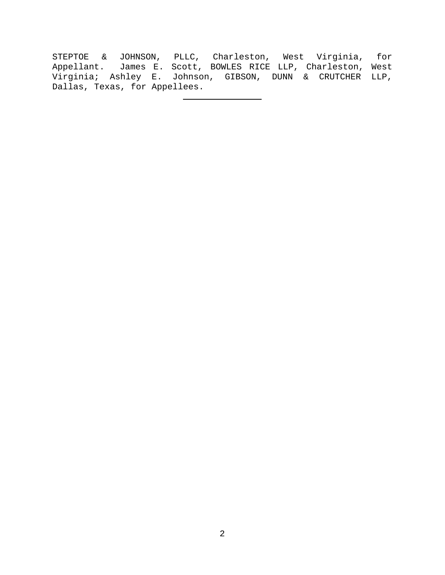STEPTOE & JOHNSON, PLLC, Charleston, West Virginia, for Appellant. James E. Scott, BOWLES RICE LLP, Charleston, West Virginia; Ashley E. Johnson, GIBSON, DUNN & CRUTCHER LLP, Dallas, Texas, for Appellees.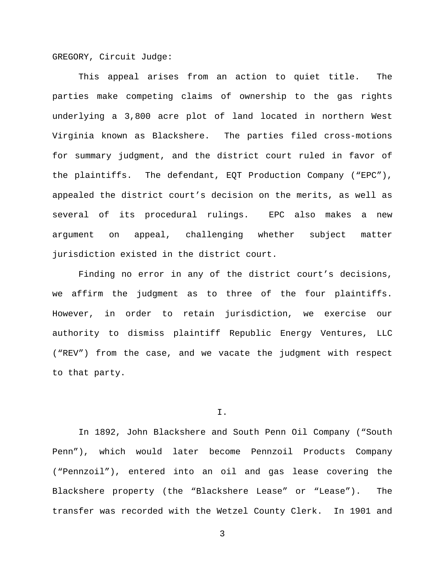GREGORY, Circuit Judge:

This appeal arises from an action to quiet title. The parties make competing claims of ownership to the gas rights underlying a 3,800 acre plot of land located in northern West Virginia known as Blackshere. The parties filed cross-motions for summary judgment, and the district court ruled in favor of the plaintiffs. The defendant, EQT Production Company ("EPC"), appealed the district court's decision on the merits, as well as several of its procedural rulings. EPC also makes a new argument on appeal, challenging whether subject matter jurisdiction existed in the district court.

Finding no error in any of the district court's decisions, we affirm the judgment as to three of the four plaintiffs. However, in order to retain jurisdiction, we exercise our authority to dismiss plaintiff Republic Energy Ventures, LLC ("REV") from the case, and we vacate the judgment with respect to that party.

I.

In 1892, John Blackshere and South Penn Oil Company ("South Penn"), which would later become Pennzoil Products Company ("Pennzoil"), entered into an oil and gas lease covering the Blackshere property (the "Blackshere Lease" or "Lease"). The transfer was recorded with the Wetzel County Clerk. In 1901 and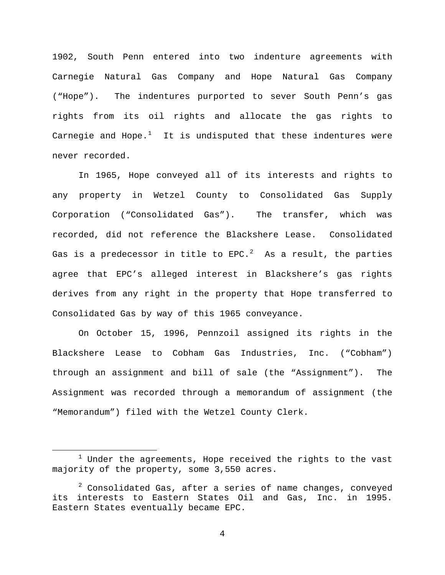1902, South Penn entered into two indenture agreements with Carnegie Natural Gas Company and Hope Natural Gas Company ("Hope"). The indentures purported to sever South Penn's gas rights from its oil rights and allocate the gas rights to Carnegie and Hope. $^1$  $^1$  It is undisputed that these indentures were never recorded.

In 1965, Hope conveyed all of its interests and rights to any property in Wetzel County to Consolidated Gas Supply Corporation ("Consolidated Gas"). The transfer, which was recorded, did not reference the Blackshere Lease. Consolidated Gas is a predecessor in title to EPC. $^2$  $^2$  As a result, the parties agree that EPC's alleged interest in Blackshere's gas rights derives from any right in the property that Hope transferred to Consolidated Gas by way of this 1965 conveyance.

On October 15, 1996, Pennzoil assigned its rights in the Blackshere Lease to Cobham Gas Industries, Inc. ("Cobham") through an assignment and bill of sale (the "Assignment"). The Assignment was recorded through a memorandum of assignment (the "Memorandum") filed with the Wetzel County Clerk.

<span id="page-3-0"></span> $1$  Under the agreements, Hope received the rights to the vast majority of the property, some 3,550 acres.

<span id="page-3-1"></span> $2$  Consolidated Gas, after a series of name changes, conveyed its interests to Eastern States Oil and Gas, Inc. in 1995. Eastern States eventually became EPC.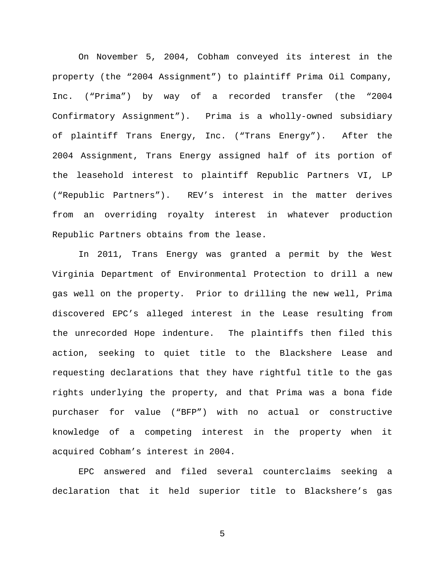On November 5, 2004, Cobham conveyed its interest in the property (the "2004 Assignment") to plaintiff Prima Oil Company, Inc. ("Prima") by way of a recorded transfer (the "2004 Confirmatory Assignment"). Prima is a wholly-owned subsidiary of plaintiff Trans Energy, Inc. ("Trans Energy"). After the 2004 Assignment, Trans Energy assigned half of its portion of the leasehold interest to plaintiff Republic Partners VI, LP ("Republic Partners"). REV's interest in the matter derives from an overriding royalty interest in whatever production Republic Partners obtains from the lease.

In 2011, Trans Energy was granted a permit by the West Virginia Department of Environmental Protection to drill a new gas well on the property. Prior to drilling the new well, Prima discovered EPC's alleged interest in the Lease resulting from the unrecorded Hope indenture. The plaintiffs then filed this action, seeking to quiet title to the Blackshere Lease and requesting declarations that they have rightful title to the gas rights underlying the property, and that Prima was a bona fide purchaser for value ("BFP") with no actual or constructive knowledge of a competing interest in the property when it acquired Cobham's interest in 2004.

EPC answered and filed several counterclaims seeking a declaration that it held superior title to Blackshere's gas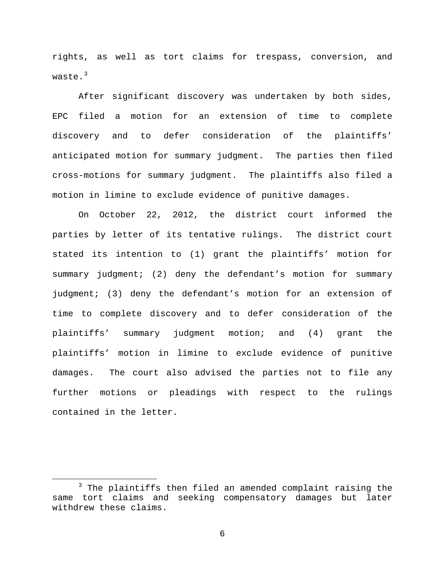rights, as well as tort claims for trespass, conversion, and waste.<sup>[3](#page-5-0)</sup>

After significant discovery was undertaken by both sides, EPC filed a motion for an extension of time to complete discovery and to defer consideration of the plaintiffs' anticipated motion for summary judgment. The parties then filed cross-motions for summary judgment. The plaintiffs also filed a motion in limine to exclude evidence of punitive damages.

On October 22, 2012, the district court informed the parties by letter of its tentative rulings. The district court stated its intention to (1) grant the plaintiffs' motion for summary judgment; (2) deny the defendant's motion for summary judgment; (3) deny the defendant's motion for an extension of time to complete discovery and to defer consideration of the plaintiffs' summary judgment motion; and (4) grant the plaintiffs' motion in limine to exclude evidence of punitive damages. The court also advised the parties not to file any further motions or pleadings with respect to the rulings contained in the letter.

<span id="page-5-0"></span><sup>&</sup>lt;sup>3</sup> The plaintiffs then filed an amended complaint raising the same tort claims and seeking compensatory damages but later withdrew these claims.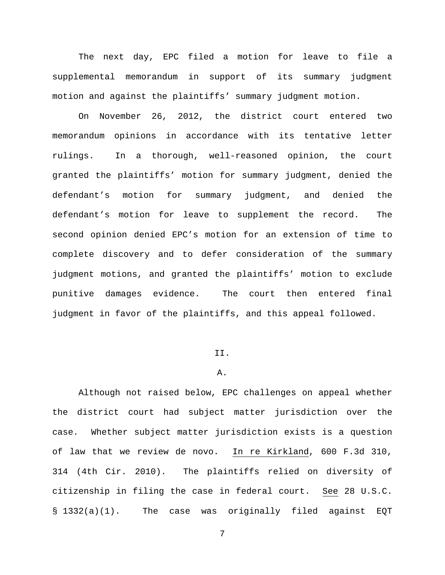The next day, EPC filed a motion for leave to file a supplemental memorandum in support of its summary judgment motion and against the plaintiffs' summary judgment motion.

On November 26, 2012, the district court entered two memorandum opinions in accordance with its tentative letter rulings. In a thorough, well-reasoned opinion, the court granted the plaintiffs' motion for summary judgment, denied the defendant's motion for summary judgment, and denied the defendant's motion for leave to supplement the record. The second opinion denied EPC's motion for an extension of time to complete discovery and to defer consideration of the summary judgment motions, and granted the plaintiffs' motion to exclude punitive damages evidence. The court then entered final judgment in favor of the plaintiffs, and this appeal followed.

## II.

### A.

Although not raised below, EPC challenges on appeal whether the district court had subject matter jurisdiction over the case. Whether subject matter jurisdiction exists is a question of law that we review de novo. In re Kirkland, 600 F.3d 310, 314 (4th Cir. 2010). The plaintiffs relied on diversity of citizenship in filing the case in federal court. See 28 U.S.C. § 1332(a)(1). The case was originally filed against EQT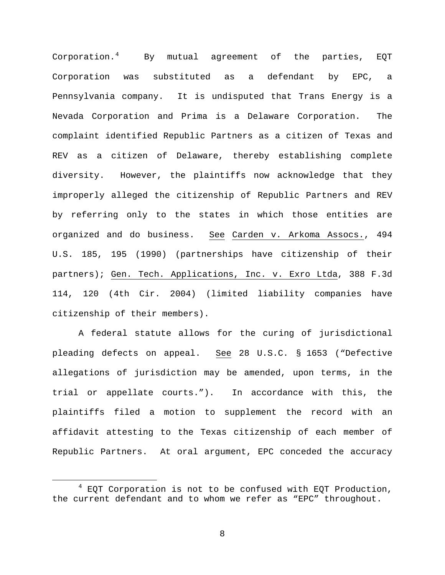Corporation.[4](#page-7-0) By mutual agreement of the parties, EQT Corporation was substituted as a defendant by EPC, a Pennsylvania company. It is undisputed that Trans Energy is a Nevada Corporation and Prima is a Delaware Corporation. The complaint identified Republic Partners as a citizen of Texas and REV as a citizen of Delaware, thereby establishing complete diversity. However, the plaintiffs now acknowledge that they improperly alleged the citizenship of Republic Partners and REV by referring only to the states in which those entities are organized and do business. See Carden v. Arkoma Assocs., 494 U.S. 185, 195 (1990) (partnerships have citizenship of their partners); Gen. Tech. Applications, Inc. v. Exro Ltda, 388 F.3d 114, 120 (4th Cir. 2004) (limited liability companies have citizenship of their members).

A federal statute allows for the curing of jurisdictional pleading defects on appeal. See 28 U.S.C. § 1653 ("Defective allegations of jurisdiction may be amended, upon terms, in the trial or appellate courts."). In accordance with this, the plaintiffs filed a motion to supplement the record with an affidavit attesting to the Texas citizenship of each member of Republic Partners. At oral argument, EPC conceded the accuracy

<span id="page-7-0"></span> $4$  EOT Corporation is not to be confused with EQT Production, the current defendant and to whom we refer as "EPC" throughout.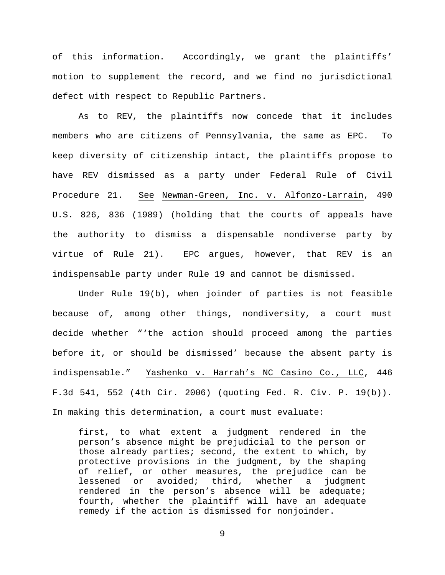of this information. Accordingly, we grant the plaintiffs' motion to supplement the record, and we find no jurisdictional defect with respect to Republic Partners.

As to REV, the plaintiffs now concede that it includes members who are citizens of Pennsylvania, the same as EPC. To keep diversity of citizenship intact, the plaintiffs propose to have REV dismissed as a party under Federal Rule of Civil Procedure 21. See Newman-Green, Inc. v. Alfonzo-Larrain, 490 U.S. 826, 836 (1989) (holding that the courts of appeals have the authority to dismiss a dispensable nondiverse party by virtue of Rule 21). EPC argues, however, that REV is an indispensable party under Rule 19 and cannot be dismissed.

Under Rule 19(b), when joinder of parties is not feasible because of, among other things, nondiversity, a court must decide whether "'the action should proceed among the parties before it, or should be dismissed' because the absent party is indispensable." Yashenko v. Harrah's NC Casino Co., LLC, 446 F.3d 541, 552 (4th Cir. 2006) (quoting Fed. R. Civ. P. 19(b)). In making this determination, a court must evaluate:

first, to what extent a judgment rendered in the person's absence might be prejudicial to the person or those already parties; second, the extent to which, by protective provisions in the judgment, by the shaping of relief, or other measures, the prejudice can be<br>lessened or avoided; third, whether a judgment lessened or avoided; third, rendered in the person's absence will be adequate; fourth, whether the plaintiff will have an adequate remedy if the action is dismissed for nonjoinder.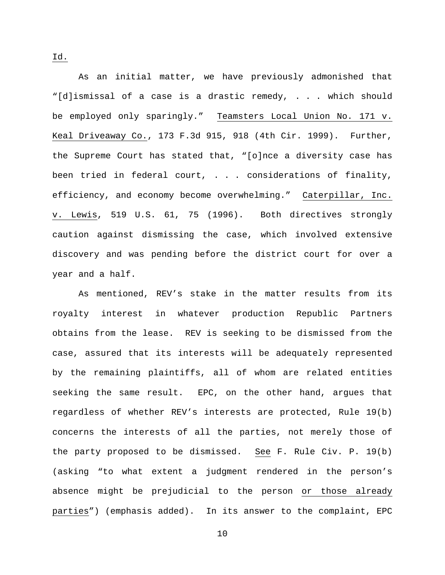As an initial matter, we have previously admonished that "[d]ismissal of a case is a drastic remedy, . . . which should be employed only sparingly." Teamsters Local Union No. 171 v. Keal Driveaway Co., 173 F.3d 915, 918 (4th Cir. 1999). Further, the Supreme Court has stated that, "[o]nce a diversity case has been tried in federal court, . . . considerations of finality, efficiency, and economy become overwhelming." Caterpillar, Inc. v. Lewis, 519 U.S. 61, 75 (1996). Both directives strongly caution against dismissing the case, which involved extensive discovery and was pending before the district court for over a year and a half.

As mentioned, REV's stake in the matter results from its royalty interest in whatever production Republic Partners obtains from the lease. REV is seeking to be dismissed from the case, assured that its interests will be adequately represented by the remaining plaintiffs, all of whom are related entities seeking the same result. EPC, on the other hand, argues that regardless of whether REV's interests are protected, Rule 19(b) concerns the interests of all the parties, not merely those of the party proposed to be dismissed. See F. Rule Civ. P. 19(b) (asking "to what extent a judgment rendered in the person's absence might be prejudicial to the person or those already parties") (emphasis added). In its answer to the complaint, EPC

Id.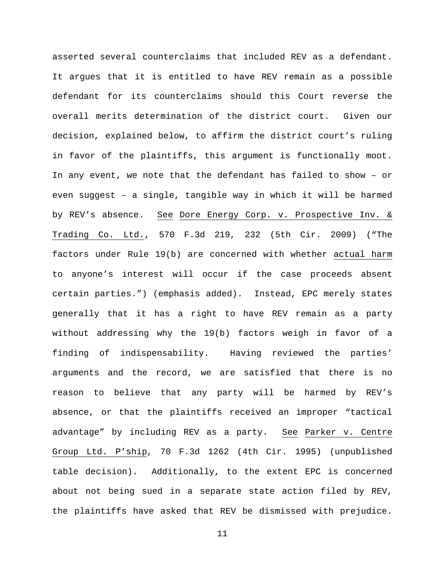asserted several counterclaims that included REV as a defendant. It argues that it is entitled to have REV remain as a possible defendant for its counterclaims should this Court reverse the overall merits determination of the district court. Given our decision, explained below, to affirm the district court's ruling in favor of the plaintiffs, this argument is functionally moot. In any event, we note that the defendant has failed to show – or even suggest – a single, tangible way in which it will be harmed by REV's absence. See Dore Energy Corp. v. Prospective Inv. & Trading Co. Ltd., 570 F.3d 219, 232 (5th Cir. 2009) ("The factors under Rule 19(b) are concerned with whether actual harm to anyone's interest will occur if the case proceeds absent certain parties.") (emphasis added). Instead, EPC merely states generally that it has a right to have REV remain as a party without addressing why the 19(b) factors weigh in favor of a finding of indispensability. Having reviewed the parties' arguments and the record, we are satisfied that there is no reason to believe that any party will be harmed by REV's absence, or that the plaintiffs received an improper "tactical advantage" by including REV as a party. See Parker v. Centre Group Ltd. P'ship, 70 F.3d 1262 (4th Cir. 1995) (unpublished table decision). Additionally, to the extent EPC is concerned about not being sued in a separate state action filed by REV, the plaintiffs have asked that REV be dismissed with prejudice.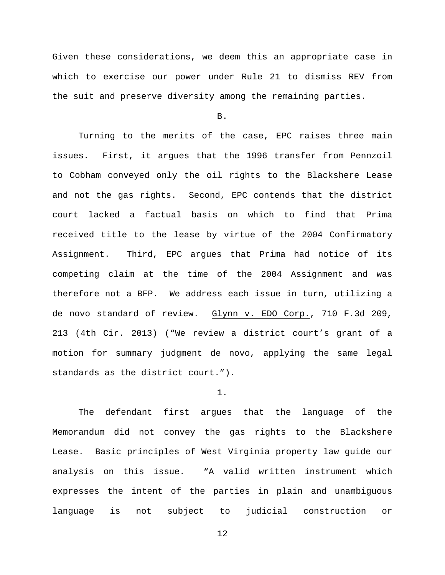Given these considerations, we deem this an appropriate case in which to exercise our power under Rule 21 to dismiss REV from the suit and preserve diversity among the remaining parties.

B.

Turning to the merits of the case, EPC raises three main issues. First, it argues that the 1996 transfer from Pennzoil to Cobham conveyed only the oil rights to the Blackshere Lease and not the gas rights. Second, EPC contends that the district court lacked a factual basis on which to find that Prima received title to the lease by virtue of the 2004 Confirmatory Assignment. Third, EPC argues that Prima had notice of its competing claim at the time of the 2004 Assignment and was therefore not a BFP. We address each issue in turn, utilizing a de novo standard of review. Glynn v. EDO Corp., 710 F.3d 209, 213 (4th Cir. 2013) ("We review a district court's grant of a motion for summary judgment de novo, applying the same legal standards as the district court.").

### 1.

The defendant first argues that the language of the Memorandum did not convey the gas rights to the Blackshere Lease. Basic principles of West Virginia property law guide our analysis on this issue. "A valid written instrument which expresses the intent of the parties in plain and unambiguous language is not subject to judicial construction or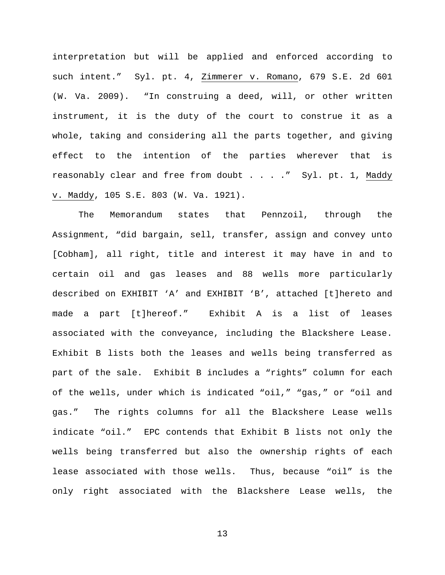interpretation but will be applied and enforced according to such intent." Syl. pt. 4, Zimmerer v. Romano, 679 S.E. 2d 601 (W. Va. 2009). "In construing a deed, will, or other written instrument, it is the duty of the court to construe it as a whole, taking and considering all the parts together, and giving effect to the intention of the parties wherever that is reasonably clear and free from doubt . . . . " Syl. pt. 1, Maddy v. Maddy, 105 S.E. 803 (W. Va. 1921).

The Memorandum states that Pennzoil, through the Assignment, "did bargain, sell, transfer, assign and convey unto [Cobham], all right, title and interest it may have in and to certain oil and gas leases and 88 wells more particularly described on EXHIBIT 'A' and EXHIBIT 'B', attached [t]hereto and made a part [t]hereof." Exhibit A is a list of leases associated with the conveyance, including the Blackshere Lease. Exhibit B lists both the leases and wells being transferred as part of the sale. Exhibit B includes a "rights" column for each of the wells, under which is indicated "oil," "gas," or "oil and gas." The rights columns for all the Blackshere Lease wells indicate "oil." EPC contends that Exhibit B lists not only the wells being transferred but also the ownership rights of each lease associated with those wells. Thus, because "oil" is the only right associated with the Blackshere Lease wells, the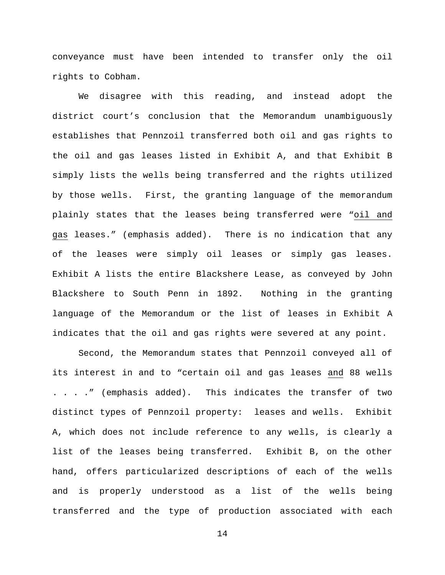conveyance must have been intended to transfer only the oil rights to Cobham.

We disagree with this reading, and instead adopt the district court's conclusion that the Memorandum unambiguously establishes that Pennzoil transferred both oil and gas rights to the oil and gas leases listed in Exhibit A, and that Exhibit B simply lists the wells being transferred and the rights utilized by those wells. First, the granting language of the memorandum plainly states that the leases being transferred were "oil and gas leases." (emphasis added). There is no indication that any of the leases were simply oil leases or simply gas leases. Exhibit A lists the entire Blackshere Lease, as conveyed by John Blackshere to South Penn in 1892. Nothing in the granting language of the Memorandum or the list of leases in Exhibit A indicates that the oil and gas rights were severed at any point.

Second, the Memorandum states that Pennzoil conveyed all of its interest in and to "certain oil and gas leases and 88 wells . . . ." (emphasis added). This indicates the transfer of two distinct types of Pennzoil property: leases and wells. Exhibit A, which does not include reference to any wells, is clearly a list of the leases being transferred. Exhibit B, on the other hand, offers particularized descriptions of each of the wells and is properly understood as a list of the wells being transferred and the type of production associated with each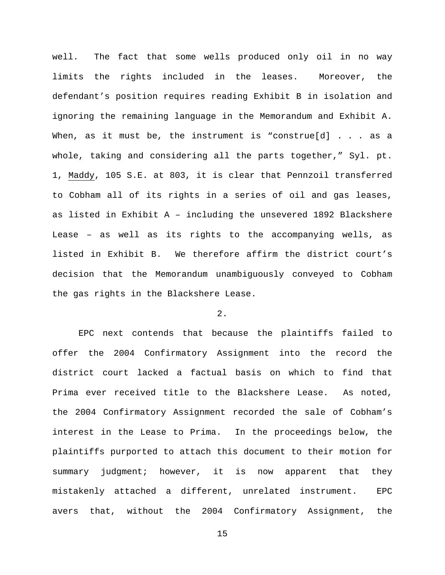well. The fact that some wells produced only oil in no way limits the rights included in the leases. Moreover, the defendant's position requires reading Exhibit B in isolation and ignoring the remaining language in the Memorandum and Exhibit A. When, as it must be, the instrument is "construe[d] . . . as a whole, taking and considering all the parts together," Syl. pt. 1, Maddy, 105 S.E. at 803, it is clear that Pennzoil transferred to Cobham all of its rights in a series of oil and gas leases, as listed in Exhibit A – including the unsevered 1892 Blackshere Lease – as well as its rights to the accompanying wells, as listed in Exhibit B. We therefore affirm the district court's decision that the Memorandum unambiguously conveyed to Cobham the gas rights in the Blackshere Lease.

# 2.

EPC next contends that because the plaintiffs failed to offer the 2004 Confirmatory Assignment into the record the district court lacked a factual basis on which to find that Prima ever received title to the Blackshere Lease. As noted, the 2004 Confirmatory Assignment recorded the sale of Cobham's interest in the Lease to Prima. In the proceedings below, the plaintiffs purported to attach this document to their motion for summary judgment; however, it is now apparent that they mistakenly attached a different, unrelated instrument. EPC avers that, without the 2004 Confirmatory Assignment, the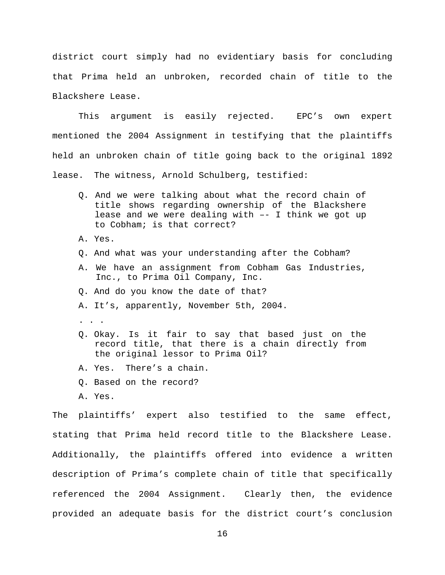district court simply had no evidentiary basis for concluding that Prima held an unbroken, recorded chain of title to the Blackshere Lease.

This argument is easily rejected. EPC's own expert mentioned the 2004 Assignment in testifying that the plaintiffs held an unbroken chain of title going back to the original 1892 lease. The witness, Arnold Schulberg, testified:

- Q. And we were talking about what the record chain of title shows regarding ownership of the Blackshere lease and we were dealing with –- I think we got up to Cobham; is that correct?
- A. Yes.
- Q. And what was your understanding after the Cobham?
- A. We have an assignment from Cobham Gas Industries, Inc., to Prima Oil Company, Inc.
- Q. And do you know the date of that?
- A. It's, apparently, November 5th, 2004.
- .  $\cdot$   $\cdot$   $\cdot$
- Q. Okay. Is it fair to say that based just on the record title, that there is a chain directly from the original lessor to Prima Oil?
- A. Yes. There's a chain.
- Q. Based on the record?
- A. Yes.

The plaintiffs' expert also testified to the same effect, stating that Prima held record title to the Blackshere Lease. Additionally, the plaintiffs offered into evidence a written description of Prima's complete chain of title that specifically referenced the 2004 Assignment. Clearly then, the evidence provided an adequate basis for the district court's conclusion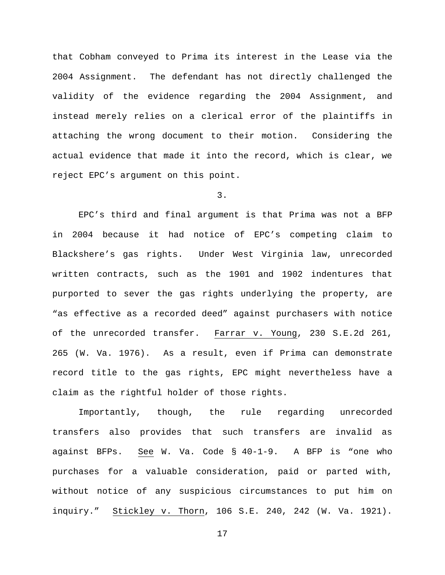that Cobham conveyed to Prima its interest in the Lease via the 2004 Assignment. The defendant has not directly challenged the validity of the evidence regarding the 2004 Assignment, and instead merely relies on a clerical error of the plaintiffs in attaching the wrong document to their motion. Considering the actual evidence that made it into the record, which is clear, we reject EPC's argument on this point.

3.

EPC's third and final argument is that Prima was not a BFP in 2004 because it had notice of EPC's competing claim to Blackshere's gas rights. Under West Virginia law, unrecorded written contracts, such as the 1901 and 1902 indentures that purported to sever the gas rights underlying the property, are "as effective as a recorded deed" against purchasers with notice of the unrecorded transfer. Farrar v. Young, 230 S.E.2d 261, 265 (W. Va. 1976). As a result, even if Prima can demonstrate record title to the gas rights, EPC might nevertheless have a claim as the rightful holder of those rights.

Importantly, though, the rule regarding unrecorded transfers also provides that such transfers are invalid as against BFPs. See W. Va. Code § 40-1-9. A BFP is "one who purchases for a valuable consideration, paid or parted with, without notice of any suspicious circumstances to put him on inquiry." Stickley v. Thorn, 106 S.E. 240, 242 (W. Va. 1921).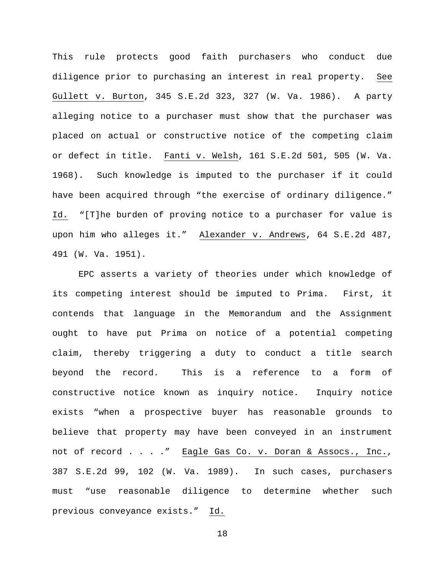This rule protects good faith purchasers who conduct due diligence prior to purchasing an interest in real property. See Gullett v. Burton, 345 S.E.2d 323, 327 (W. Va. 1986). A party alleging notice to a purchaser must show that the purchaser was placed on actual or constructive notice of the competing claim or defect in title. Fanti v. Welsh, 161 S.E.2d 501, 505 (W. Va. 1968). Such knowledge is imputed to the purchaser if it could have been acquired through "the exercise of ordinary diligence." Id. "[T]he burden of proving notice to a purchaser for value is upon him who alleges it." Alexander v. Andrews, 64 S.E.2d 487, 491 (W. Va. 1951).

EPC asserts a variety of theories under which knowledge of its competing interest should be imputed to Prima. First, it contends that language in the Memorandum and the Assignment ought to have put Prima on notice of a potential competing claim, thereby triggering a duty to conduct a title search beyond the record. This is a reference to a form of constructive notice known as inquiry notice. Inquiry notice exists "when a prospective buyer has reasonable grounds to believe that property may have been conveyed in an instrument not of record . . . ." Eagle Gas Co. v. Doran & Assocs., Inc., 387 S.E.2d 99, 102 (W. Va. 1989). In such cases, purchasers must "use reasonable diligence to determine whether such previous conveyance exists." Id.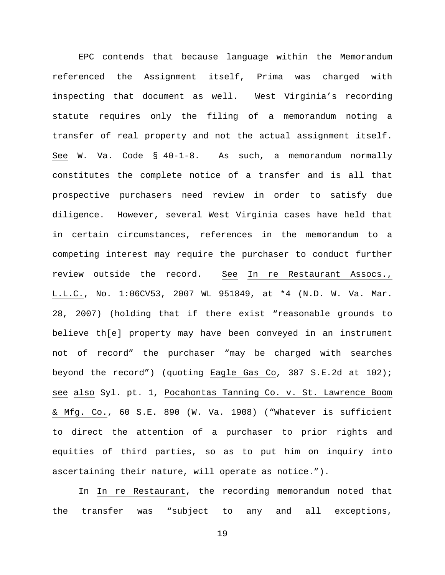EPC contends that because language within the Memorandum referenced the Assignment itself, Prima was charged with inspecting that document as well. West Virginia's recording statute requires only the filing of a memorandum noting a transfer of real property and not the actual assignment itself. See W. Va. Code § 40-1-8. As such, a memorandum normally constitutes the complete notice of a transfer and is all that prospective purchasers need review in order to satisfy due diligence. However, several West Virginia cases have held that in certain circumstances, references in the memorandum to a competing interest may require the purchaser to conduct further review outside the record. See In re Restaurant Assocs., L.L.C., No. 1:06CV53, 2007 WL 951849, at \*4 (N.D. W. Va. Mar. 28, 2007) (holding that if there exist "reasonable grounds to believe th[e] property may have been conveyed in an instrument not of record" the purchaser "may be charged with searches beyond the record") (quoting Eagle Gas Co, 387 S.E.2d at 102); see also Syl. pt. 1, Pocahontas Tanning Co. v. St. Lawrence Boom & Mfg. Co., 60 S.E. 890 (W. Va. 1908) ("Whatever is sufficient to direct the attention of a purchaser to prior rights and equities of third parties, so as to put him on inquiry into ascertaining their nature, will operate as notice.").

In In re Restaurant, the recording memorandum noted that the transfer was "subject to any and all exceptions,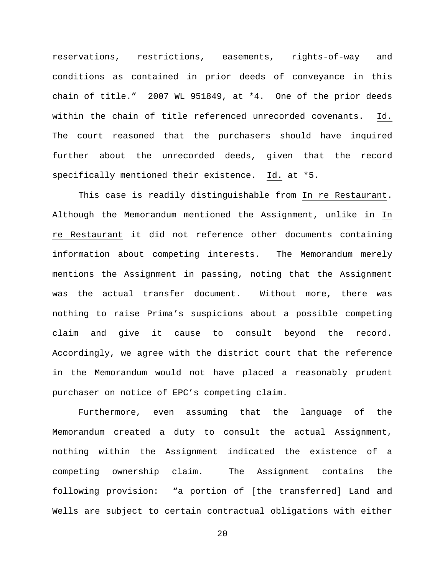reservations, restrictions, easements, rights-of-way and conditions as contained in prior deeds of conveyance in this chain of title." 2007 WL 951849, at \*4. One of the prior deeds within the chain of title referenced unrecorded covenants. Id. The court reasoned that the purchasers should have inquired further about the unrecorded deeds, given that the record specifically mentioned their existence. Id. at \*5.

This case is readily distinguishable from In re Restaurant. Although the Memorandum mentioned the Assignment, unlike in In re Restaurant it did not reference other documents containing information about competing interests. The Memorandum merely mentions the Assignment in passing, noting that the Assignment was the actual transfer document. Without more, there was nothing to raise Prima's suspicions about a possible competing claim and give it cause to consult beyond the record. Accordingly, we agree with the district court that the reference in the Memorandum would not have placed a reasonably prudent purchaser on notice of EPC's competing claim.

Furthermore, even assuming that the language of the Memorandum created a duty to consult the actual Assignment, nothing within the Assignment indicated the existence of a competing ownership claim. The Assignment contains the following provision: "a portion of [the transferred] Land and Wells are subject to certain contractual obligations with either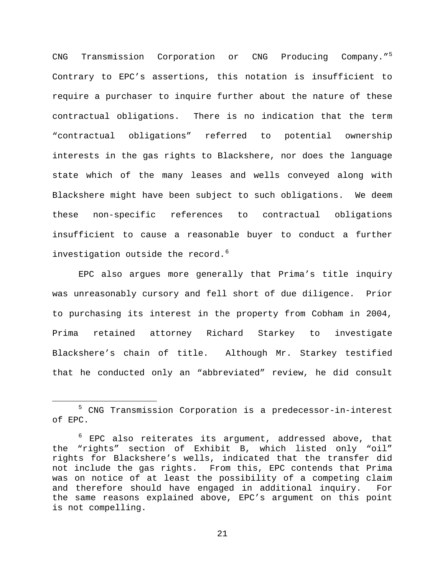CNG Transmission Corporation or CNG Producing Company."<sup>[5](#page-20-0)</sup> Contrary to EPC's assertions, this notation is insufficient to require a purchaser to inquire further about the nature of these contractual obligations. There is no indication that the term "contractual obligations" referred to potential ownership interests in the gas rights to Blackshere, nor does the language state which of the many leases and wells conveyed along with Blackshere might have been subject to such obligations. We deem these non-specific references to contractual obligations insufficient to cause a reasonable buyer to conduct a further investigation outside the record. $6$ 

EPC also argues more generally that Prima's title inquiry was unreasonably cursory and fell short of due diligence. Prior to purchasing its interest in the property from Cobham in 2004, Prima retained attorney Richard Starkey to investigate Blackshere's chain of title. Although Mr. Starkey testified that he conducted only an "abbreviated" review, he did consult

<span id="page-20-0"></span> <sup>5</sup> CNG Transmission Corporation is a predecessor-in-interest of EPC.

<span id="page-20-1"></span> $6$  EPC also reiterates its argument, addressed above, that the "rights" section of Exhibit B, which listed only "oil" rights for Blackshere's wells, indicated that the transfer did not include the gas rights. From this, EPC contends that Prima was on notice of at least the possibility of a competing claim and therefore should have engaged in additional inquiry. For the same reasons explained above, EPC's argument on this point is not compelling.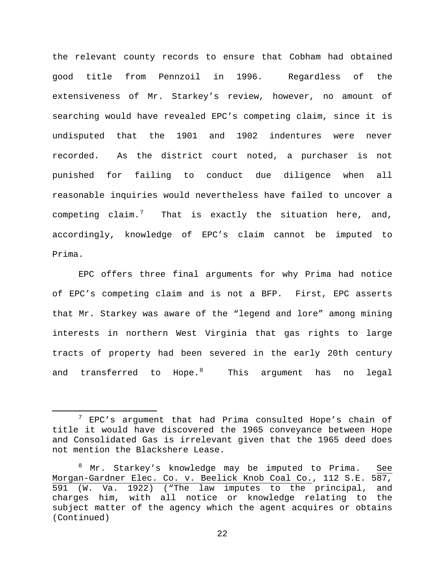the relevant county records to ensure that Cobham had obtained good title from Pennzoil in 1996. Regardless of the extensiveness of Mr. Starkey's review, however, no amount of searching would have revealed EPC's competing claim, since it is undisputed that the 1901 and 1902 indentures were never recorded. As the district court noted, a purchaser is not punished for failing to conduct due diligence when all reasonable inquiries would nevertheless have failed to uncover a competing claim.<sup>[7](#page-21-0)</sup> That is exactly the situation here, and, accordingly, knowledge of EPC's claim cannot be imputed to Prima.

EPC offers three final arguments for why Prima had notice of EPC's competing claim and is not a BFP. First, EPC asserts that Mr. Starkey was aware of the "legend and lore" among mining interests in northern West Virginia that gas rights to large tracts of property had been severed in the early 20th century and transferred to Hope. $^8$  $^8$  This argument has no legal

<span id="page-21-0"></span> $7$  EPC's argument that had Prima consulted Hope's chain of title it would have discovered the 1965 conveyance between Hope and Consolidated Gas is irrelevant given that the 1965 deed does not mention the Blackshere Lease.

<span id="page-21-1"></span><sup>8</sup> Mr. Starkey's knowledge may be imputed to Prima. See Morgan-Gardner Elec. Co. v. Beelick Knob Coal Co., 112 S.E. 587, 591 (W. Va. 1922) ("The law imputes to the principal, and charges him, with all notice or knowledge relating to the subject matter of the agency which the agent acquires or obtains (Continued)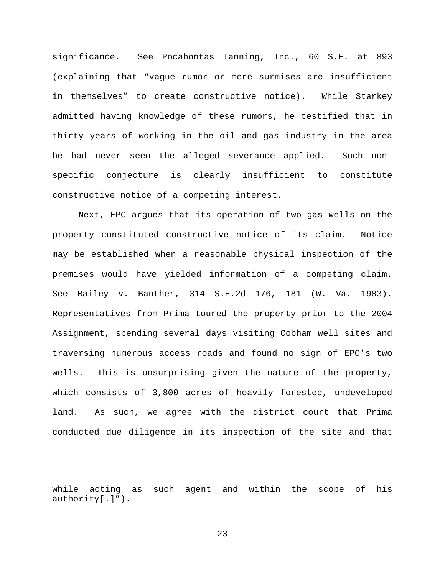significance. See Pocahontas Tanning, Inc., 60 S.E. at 893 (explaining that "vague rumor or mere surmises are insufficient in themselves" to create constructive notice). While Starkey admitted having knowledge of these rumors, he testified that in thirty years of working in the oil and gas industry in the area he had never seen the alleged severance applied. Such nonspecific conjecture is clearly insufficient to constitute constructive notice of a competing interest.

Next, EPC argues that its operation of two gas wells on the property constituted constructive notice of its claim. Notice may be established when a reasonable physical inspection of the premises would have yielded information of a competing claim. See Bailey v. Banther, 314 S.E.2d 176, 181 (W. Va. 1983). Representatives from Prima toured the property prior to the 2004 Assignment, spending several days visiting Cobham well sites and traversing numerous access roads and found no sign of EPC's two wells. This is unsurprising given the nature of the property, which consists of 3,800 acres of heavily forested, undeveloped land. As such, we agree with the district court that Prima conducted due diligence in its inspection of the site and that

Ĩ.

while acting as such agent and within the scope of his authority[.]").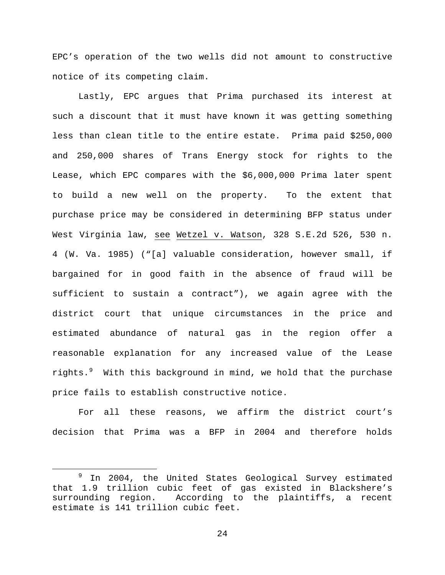EPC's operation of the two wells did not amount to constructive notice of its competing claim.

Lastly, EPC argues that Prima purchased its interest at such a discount that it must have known it was getting something less than clean title to the entire estate. Prima paid \$250,000 and 250,000 shares of Trans Energy stock for rights to the Lease, which EPC compares with the \$6,000,000 Prima later spent to build a new well on the property. To the extent that purchase price may be considered in determining BFP status under West Virginia law, see Wetzel v. Watson, 328 S.E.2d 526, 530 n. 4 (W. Va. 1985) ("[a] valuable consideration, however small, if bargained for in good faith in the absence of fraud will be sufficient to sustain a contract"), we again agree with the district court that unique circumstances in the price and estimated abundance of natural gas in the region offer a reasonable explanation for any increased value of the Lease rights.[9](#page-23-0) With this background in mind, we hold that the purchase price fails to establish constructive notice.

For all these reasons, we affirm the district court's decision that Prima was a BFP in 2004 and therefore holds

<span id="page-23-0"></span>In 2004, the United States Geological Survey estimated that 1.9 trillion cubic feet of gas existed in Blackshere's According to the plaintiffs, a recent estimate is 141 trillion cubic feet.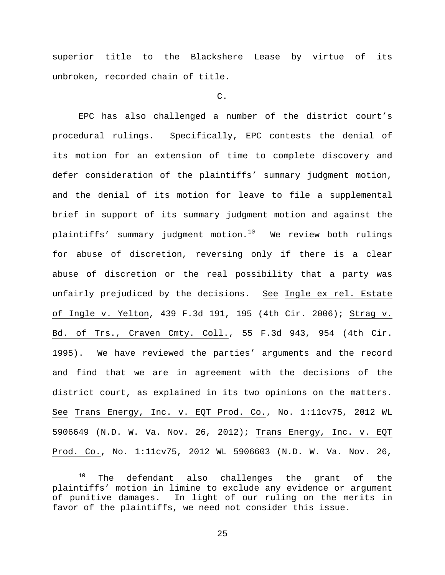superior title to the Blackshere Lease by virtue of its unbroken, recorded chain of title.

## C.

EPC has also challenged a number of the district court's procedural rulings. Specifically, EPC contests the denial of its motion for an extension of time to complete discovery and defer consideration of the plaintiffs' summary judgment motion, and the denial of its motion for leave to file a supplemental brief in support of its summary judgment motion and against the plaintiffs' summary judgment motion. $10$  We review both rulings for abuse of discretion, reversing only if there is a clear abuse of discretion or the real possibility that a party was unfairly prejudiced by the decisions. See Ingle ex rel. Estate of Ingle v. Yelton, 439 F.3d 191, 195 (4th Cir. 2006); Strag v. Bd. of Trs., Craven Cmty. Coll., 55 F.3d 943, 954 (4th Cir. 1995). We have reviewed the parties' arguments and the record and find that we are in agreement with the decisions of the district court, as explained in its two opinions on the matters. See Trans Energy, Inc. v. EQT Prod. Co., No. 1:11cv75, 2012 WL 5906649 (N.D. W. Va. Nov. 26, 2012); Trans Energy, Inc. v. EQT Prod. Co., No. 1:11cv75, 2012 WL 5906603 (N.D. W. Va. Nov. 26,

<span id="page-24-0"></span><sup>&</sup>lt;sup>10</sup> The defendant also challenges the grant of the plaintiffs' motion in limine to exclude any evidence or argument of punitive damages. In light of our ruling on the merits in favor of the plaintiffs, we need not consider this issue.